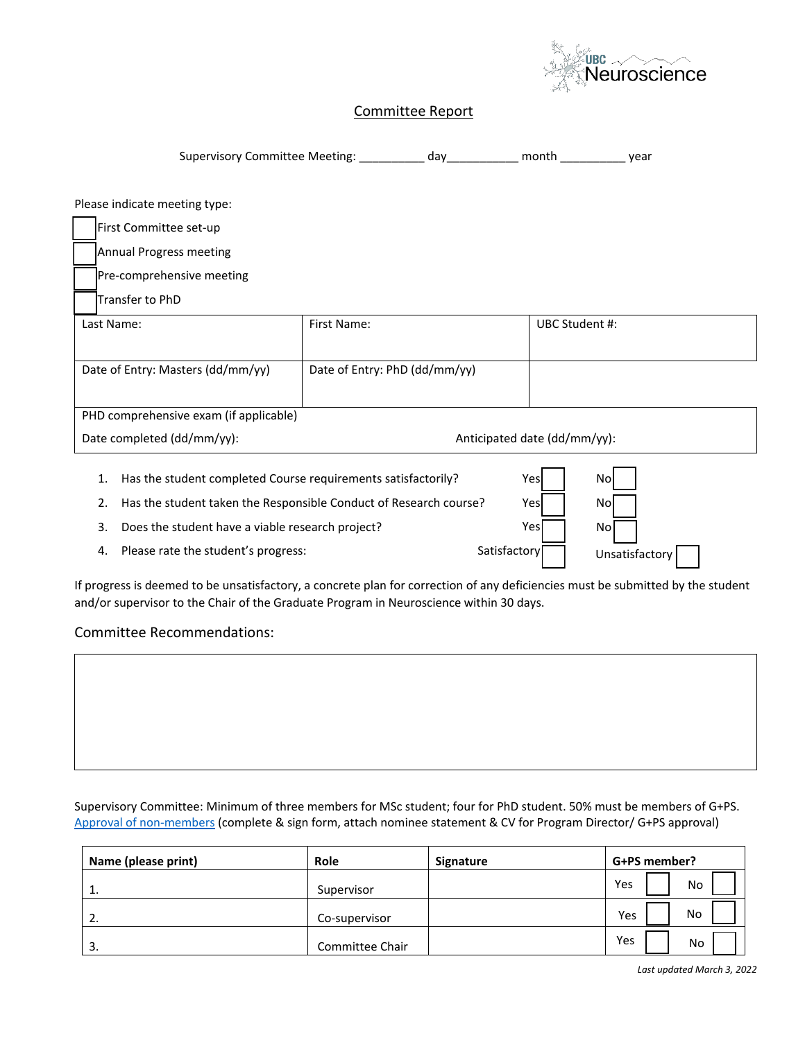

## Committee Report

Supervisory Committee Meeting: \_\_\_\_\_\_\_\_\_\_\_ day\_\_\_\_\_\_\_\_\_\_\_ month \_\_\_\_\_\_\_\_\_\_\_\_ year

Please indicate meeting type:

First Committee set-up

Annual Progress meeting

Pre-comprehensive meeting

[ ] Transfer to PhD

| Last Name:                             | First Name:                   | UBC Student #: |  |  |  |
|----------------------------------------|-------------------------------|----------------|--|--|--|
|                                        |                               |                |  |  |  |
| Date of Entry: Masters (dd/mm/yy)      | Date of Entry: PhD (dd/mm/yy) |                |  |  |  |
|                                        |                               |                |  |  |  |
| PHD comprehensive exam (if applicable) |                               |                |  |  |  |
| Date completed (dd/mm/yy):             | Anticipated date (dd/mm/yy):  |                |  |  |  |

1. Has the student completed Course requirements satisfactorily? No [ ]

2. Has the student taken the Responsible Conduct of Research course? Nes

3. Does the student have a viable research project?  $Yes$   $Yes$  No

4. Please rate the student's progress:

Yes Satisfactory Unsatisfactory

Yes Yes

If progress is deemed to be unsatisfactory, a concrete plan for correction of any deficiencies must be submitted by the student and/or supervisor to the Chair of the Graduate Program in Neuroscience within 30 days.

Committee Recommendations:

Supervisory Committee: Minimum of three members for MSc student; four for PhD student. 50% must be members of G+PS. [Approval of non-members](https://www.grad.ubc.ca/faculty-staff/policies-procedures/supervision-graduate-students-non-members-faculty-graduate) (complete & sign form, attach nominee statement & CV for Program Director/ G+PS approval)

| Name (please print) | Role            | Signature | G+PS member? |
|---------------------|-----------------|-----------|--------------|
| ᆠ.                  | Supervisor      |           | Yes<br>No    |
| 2.                  | Co-supervisor   |           | No<br>Yes    |
| 3.                  | Committee Chair |           | Yes<br>No    |